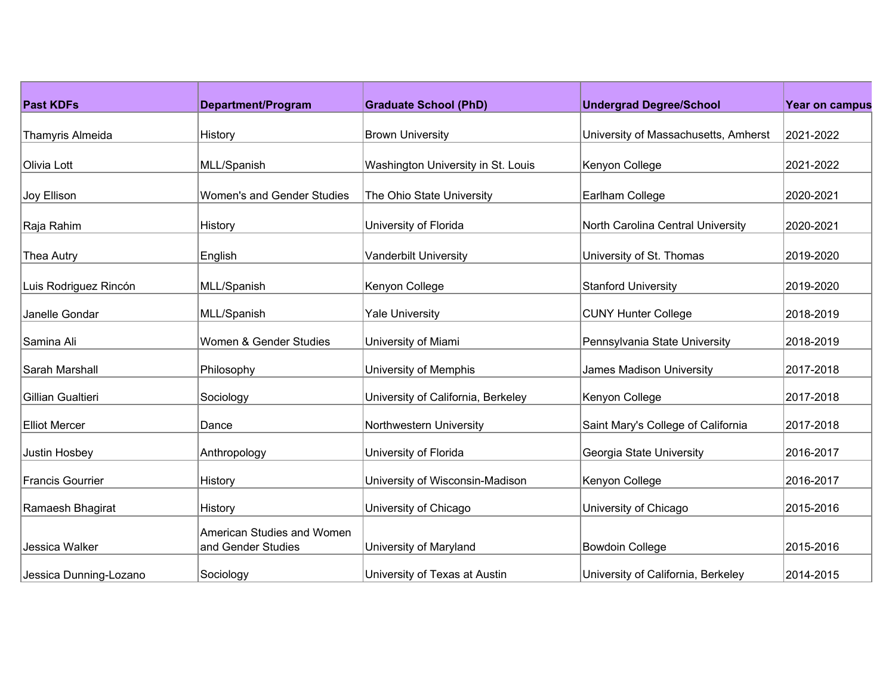| <b>Past KDFs</b>        | Department/Program                               | <b>Graduate School (PhD)</b>       | <b>Undergrad Degree/School</b>       | <b>Year on campus</b> |
|-------------------------|--------------------------------------------------|------------------------------------|--------------------------------------|-----------------------|
|                         |                                                  |                                    |                                      |                       |
| Thamyris Almeida        | History                                          | <b>Brown University</b>            | University of Massachusetts, Amherst | 2021-2022             |
| Olivia Lott             | MLL/Spanish                                      | Washington University in St. Louis | Kenyon College                       | 2021-2022             |
| Joy Ellison             | <b>Women's and Gender Studies</b>                | The Ohio State University          | Earlham College                      | 2020-2021             |
| Raja Rahim              | History                                          | University of Florida              | North Carolina Central University    | 2020-2021             |
| Thea Autry              | English                                          | <b>Vanderbilt University</b>       | University of St. Thomas             | 2019-2020             |
| Luis Rodriguez Rincón   | MLL/Spanish                                      | Kenyon College                     | <b>Stanford University</b>           | 2019-2020             |
| Janelle Gondar          | MLL/Spanish                                      | <b>Yale University</b>             | <b>CUNY Hunter College</b>           | 2018-2019             |
| Samina Ali              | Women & Gender Studies                           | University of Miami                | Pennsylvania State University        | 2018-2019             |
| Sarah Marshall          | Philosophy                                       | University of Memphis              | James Madison University             | 2017-2018             |
| Gillian Gualtieri       | Sociology                                        | University of California, Berkeley | Kenyon College                       | 2017-2018             |
| <b>Elliot Mercer</b>    | Dance                                            | Northwestern University            | Saint Mary's College of California   | 2017-2018             |
| Justin Hosbey           | Anthropology                                     | University of Florida              | Georgia State University             | 2016-2017             |
| <b>Francis Gourrier</b> | History                                          | University of Wisconsin-Madison    | Kenyon College                       | 2016-2017             |
| Ramaesh Bhagirat        | History                                          | University of Chicago              | University of Chicago                | 2015-2016             |
| Jessica Walker          | American Studies and Women<br>and Gender Studies | University of Maryland             | <b>Bowdoin College</b>               | 2015-2016             |
| Jessica Dunning-Lozano  | Sociology                                        | University of Texas at Austin      | University of California, Berkeley   | 2014-2015             |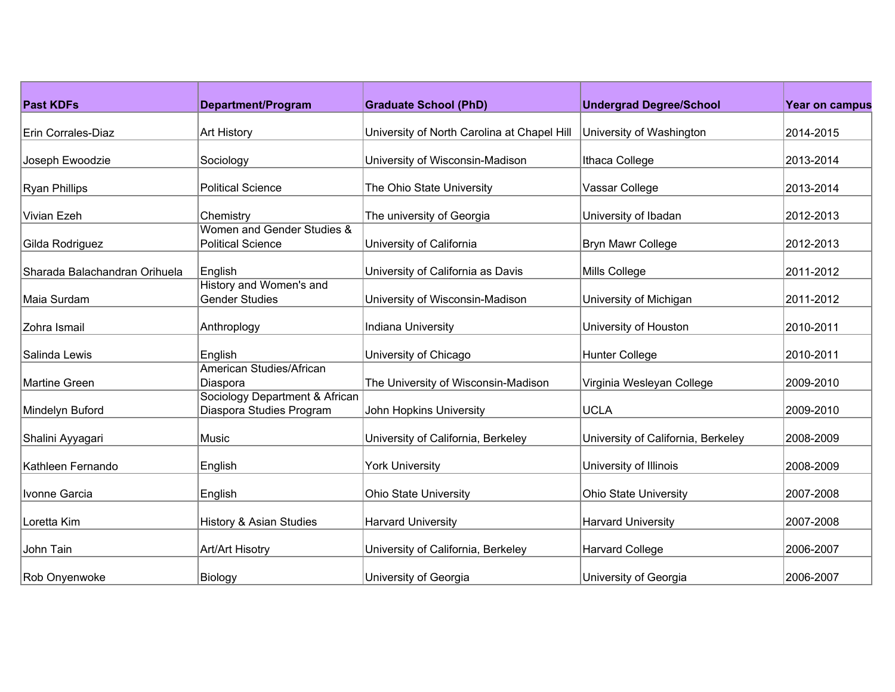| <b>Past KDFs</b>              | Department/Program                                         | <b>Graduate School (PhD)</b>                | <b>Undergrad Degree/School</b>     | <b>Year on campus</b> |
|-------------------------------|------------------------------------------------------------|---------------------------------------------|------------------------------------|-----------------------|
| Erin Corrales-Diaz            | <b>Art History</b>                                         | University of North Carolina at Chapel Hill | University of Washington           | 2014-2015             |
| Joseph Ewoodzie               | Sociology                                                  | University of Wisconsin-Madison             | Ithaca College                     | 2013-2014             |
| <b>Ryan Phillips</b>          | <b>Political Science</b>                                   | The Ohio State University                   | Vassar College                     | 2013-2014             |
| <b>Vivian Ezeh</b>            | Chemistry                                                  | The university of Georgia                   | University of Ibadan               | 2012-2013             |
| Gilda Rodriguez               | Women and Gender Studies &<br><b>Political Science</b>     | University of California                    | Bryn Mawr College                  | 2012-2013             |
| Sharada Balachandran Orihuela | English                                                    | University of California as Davis           | Mills College                      | 2011-2012             |
| Maia Surdam                   | History and Women's and<br><b>Gender Studies</b>           | University of Wisconsin-Madison             | University of Michigan             | 2011-2012             |
| Zohra Ismail                  | Anthroplogy                                                | Indiana University                          | University of Houston              | 2010-2011             |
| Salinda Lewis                 | English                                                    | University of Chicago                       | <b>Hunter College</b>              | 2010-2011             |
| Martine Green                 | American Studies/African<br>Diaspora                       | The University of Wisconsin-Madison         | Virginia Wesleyan College          | 2009-2010             |
| Mindelyn Buford               | Sociology Department & African<br>Diaspora Studies Program | John Hopkins University                     | <b>UCLA</b>                        | 2009-2010             |
| Shalini Ayyagari              | Music                                                      | University of California, Berkeley          | University of California, Berkeley | 2008-2009             |
| Kathleen Fernando             | English                                                    | <b>York University</b>                      | University of Illinois             | 2008-2009             |
| Ivonne Garcia                 | English                                                    | <b>Ohio State University</b>                | <b>Ohio State University</b>       | 2007-2008             |
| Loretta Kim                   | <b>History &amp; Asian Studies</b>                         | <b>Harvard University</b>                   | <b>Harvard University</b>          | 2007-2008             |
| John Tain                     | Art/Art Hisotry                                            | University of California, Berkeley          | <b>Harvard College</b>             | 2006-2007             |
| Rob Onyenwoke                 | Biology                                                    | University of Georgia                       | University of Georgia              | 2006-2007             |